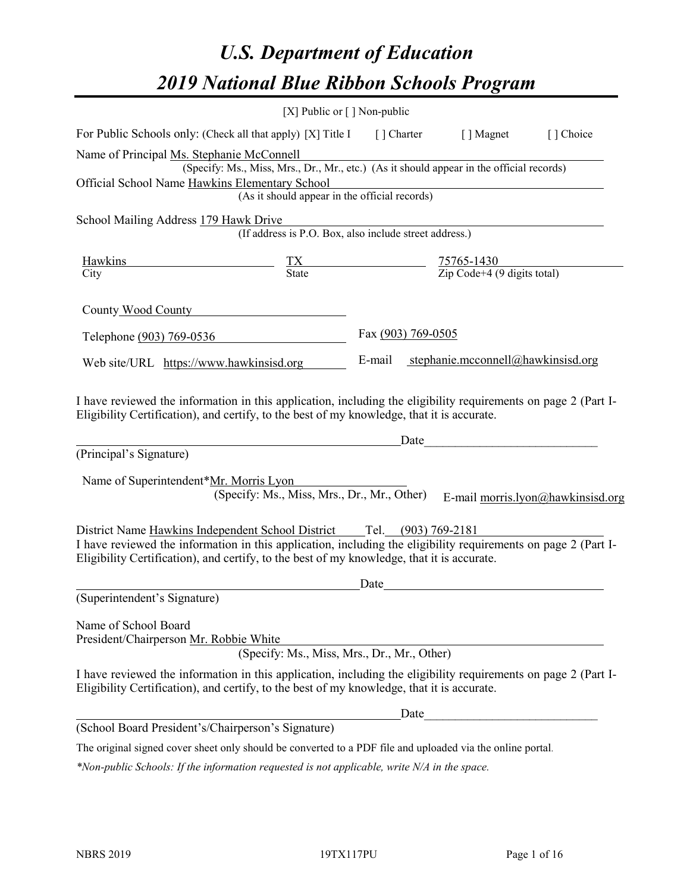# *U.S. Department of Education 2019 National Blue Ribbon Schools Program*

|                                                                                                                                                                                                                                                                                   | [X] Public or $\lceil$ ] Non-public                                                                                                       |                    |                                                         |                                   |
|-----------------------------------------------------------------------------------------------------------------------------------------------------------------------------------------------------------------------------------------------------------------------------------|-------------------------------------------------------------------------------------------------------------------------------------------|--------------------|---------------------------------------------------------|-----------------------------------|
| For Public Schools only: (Check all that apply) [X] Title I                                                                                                                                                                                                                       |                                                                                                                                           |                    | [] Charter [] Magnet                                    | [ ] Choice                        |
| Name of Principal Ms. Stephanie McConnell<br>Official School Name Hawkins Elementary School                                                                                                                                                                                       | (Specify: Ms., Miss, Mrs., Dr., Mr., etc.) (As it should appear in the official records)<br>(As it should appear in the official records) |                    |                                                         |                                   |
| School Mailing Address 179 Hawk Drive                                                                                                                                                                                                                                             |                                                                                                                                           |                    |                                                         |                                   |
|                                                                                                                                                                                                                                                                                   | (If address is P.O. Box, also include street address.)                                                                                    |                    |                                                         |                                   |
| Hawkins<br>City                                                                                                                                                                                                                                                                   | $\frac{TX}{State}$                                                                                                                        |                    | $\frac{75765-1430}{\text{Zip Code}+4 (9 digits total)}$ |                                   |
| County Wood County                                                                                                                                                                                                                                                                |                                                                                                                                           |                    |                                                         |                                   |
| Telephone (903) 769-0536                                                                                                                                                                                                                                                          |                                                                                                                                           | Fax (903) 769-0505 |                                                         |                                   |
| Web site/URL https://www.hawkinsisd.org                                                                                                                                                                                                                                           |                                                                                                                                           |                    | E-mail stephanie.mcconnell@hawkinsisd.org               |                                   |
| I have reviewed the information in this application, including the eligibility requirements on page 2 (Part I-<br>Eligibility Certification), and certify, to the best of my knowledge, that it is accurate.<br>(Principal's Signature)<br>Name of Superintendent*Mr. Morris Lyon | (Specify: Ms., Miss, Mrs., Dr., Mr., Other)                                                                                               | Date               |                                                         | E-mail morris.lyon@hawkinsisd.org |
| I have reviewed the information in this application, including the eligibility requirements on page 2 (Part I-<br>Eligibility Certification), and certify, to the best of my knowledge, that it is accurate.                                                                      |                                                                                                                                           |                    |                                                         |                                   |
| (Superintendent's Signature)                                                                                                                                                                                                                                                      |                                                                                                                                           | Date               |                                                         |                                   |
| Name of School Board<br>President/Chairperson Mr. Robbie White                                                                                                                                                                                                                    | (Specify: Ms., Miss, Mrs., Dr., Mr., Other)                                                                                               |                    |                                                         |                                   |
| I have reviewed the information in this application, including the eligibility requirements on page 2 (Part I-<br>Eligibility Certification), and certify, to the best of my knowledge, that it is accurate.                                                                      |                                                                                                                                           |                    |                                                         |                                   |
|                                                                                                                                                                                                                                                                                   |                                                                                                                                           | Date               |                                                         |                                   |
| (School Board President's/Chairperson's Signature)                                                                                                                                                                                                                                |                                                                                                                                           |                    |                                                         |                                   |
| The original signed cover sheet only should be converted to a PDF file and uploaded via the online portal.                                                                                                                                                                        |                                                                                                                                           |                    |                                                         |                                   |

*\*Non-public Schools: If the information requested is not applicable, write N/A in the space.*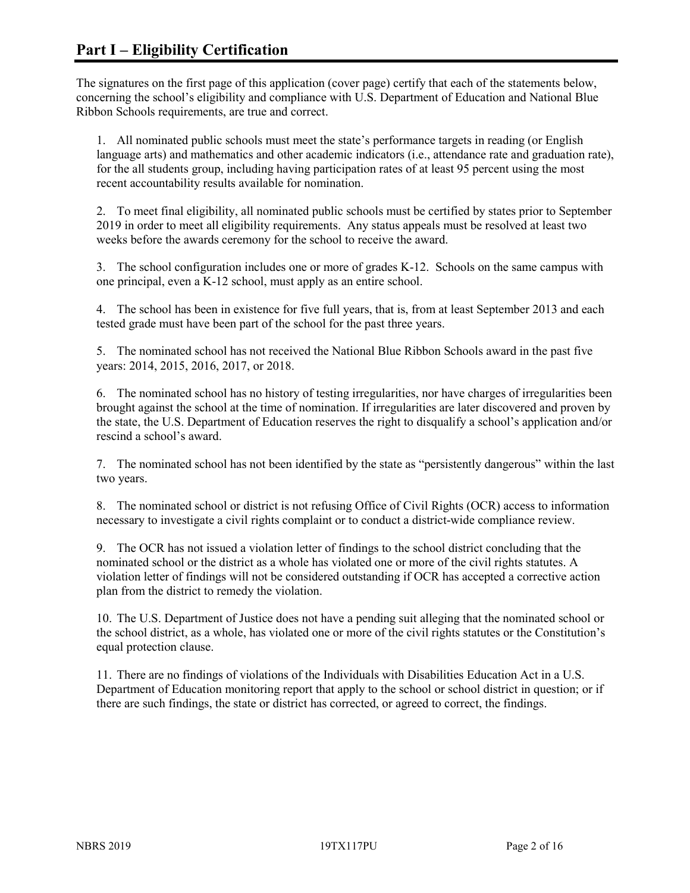The signatures on the first page of this application (cover page) certify that each of the statements below, concerning the school's eligibility and compliance with U.S. Department of Education and National Blue Ribbon Schools requirements, are true and correct.

1. All nominated public schools must meet the state's performance targets in reading (or English language arts) and mathematics and other academic indicators (i.e., attendance rate and graduation rate), for the all students group, including having participation rates of at least 95 percent using the most recent accountability results available for nomination.

2. To meet final eligibility, all nominated public schools must be certified by states prior to September 2019 in order to meet all eligibility requirements. Any status appeals must be resolved at least two weeks before the awards ceremony for the school to receive the award.

3. The school configuration includes one or more of grades K-12. Schools on the same campus with one principal, even a K-12 school, must apply as an entire school.

4. The school has been in existence for five full years, that is, from at least September 2013 and each tested grade must have been part of the school for the past three years.

5. The nominated school has not received the National Blue Ribbon Schools award in the past five years: 2014, 2015, 2016, 2017, or 2018.

6. The nominated school has no history of testing irregularities, nor have charges of irregularities been brought against the school at the time of nomination. If irregularities are later discovered and proven by the state, the U.S. Department of Education reserves the right to disqualify a school's application and/or rescind a school's award.

7. The nominated school has not been identified by the state as "persistently dangerous" within the last two years.

8. The nominated school or district is not refusing Office of Civil Rights (OCR) access to information necessary to investigate a civil rights complaint or to conduct a district-wide compliance review.

9. The OCR has not issued a violation letter of findings to the school district concluding that the nominated school or the district as a whole has violated one or more of the civil rights statutes. A violation letter of findings will not be considered outstanding if OCR has accepted a corrective action plan from the district to remedy the violation.

10. The U.S. Department of Justice does not have a pending suit alleging that the nominated school or the school district, as a whole, has violated one or more of the civil rights statutes or the Constitution's equal protection clause.

11. There are no findings of violations of the Individuals with Disabilities Education Act in a U.S. Department of Education monitoring report that apply to the school or school district in question; or if there are such findings, the state or district has corrected, or agreed to correct, the findings.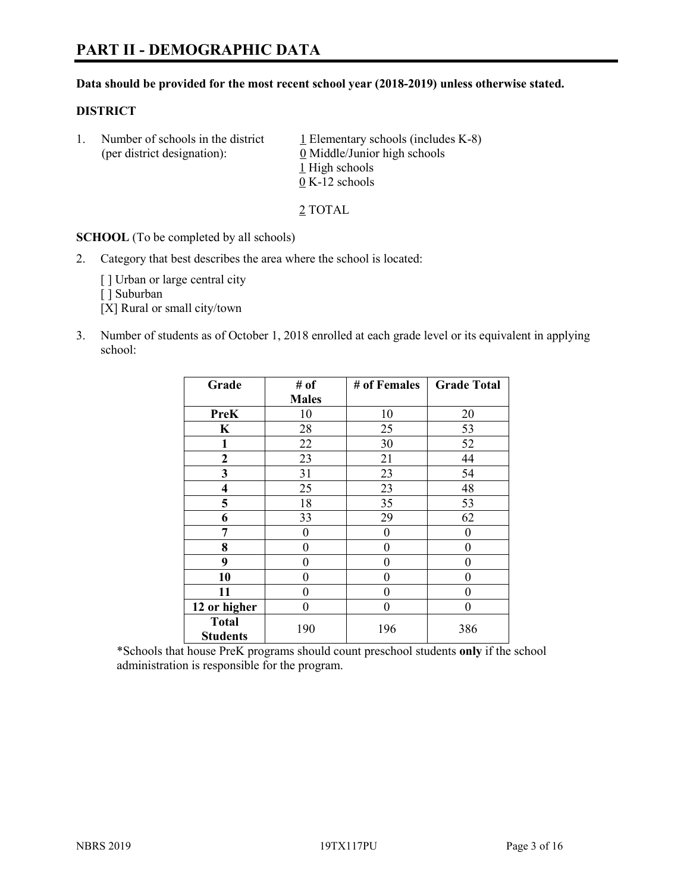#### **Data should be provided for the most recent school year (2018-2019) unless otherwise stated.**

#### **DISTRICT**

1. Number of schools in the district  $1$  Elementary schools (includes K-8) (per district designation): 0 Middle/Junior high schools 1 High schools 0 K-12 schools

2 TOTAL

**SCHOOL** (To be completed by all schools)

2. Category that best describes the area where the school is located:

[] Urban or large central city

[ ] Suburban

[X] Rural or small city/town

3. Number of students as of October 1, 2018 enrolled at each grade level or its equivalent in applying school:

| Grade                           | # of         | # of Females | <b>Grade Total</b> |
|---------------------------------|--------------|--------------|--------------------|
|                                 | <b>Males</b> |              |                    |
| <b>PreK</b>                     | 10           | 10           | 20                 |
| $\mathbf K$                     | 28           | 25           | 53                 |
| 1                               | 22           | 30           | 52                 |
| 2                               | 23           | 21           | 44                 |
| 3                               | 31           | 23           | 54                 |
| 4                               | 25           | 23           | 48                 |
| 5                               | 18           | 35           | 53                 |
| 6                               | 33           | 29           | 62                 |
| 7                               | 0            | 0            | 0                  |
| 8                               | 0            | $\theta$     | 0                  |
| 9                               | 0            | $\theta$     | 0                  |
| 10                              | 0            | $\theta$     | 0                  |
| 11                              | 0            | 0            | 0                  |
| 12 or higher                    | 0            | $\theta$     | 0                  |
| <b>Total</b><br><b>Students</b> | 190          | 196          | 386                |

\*Schools that house PreK programs should count preschool students **only** if the school administration is responsible for the program.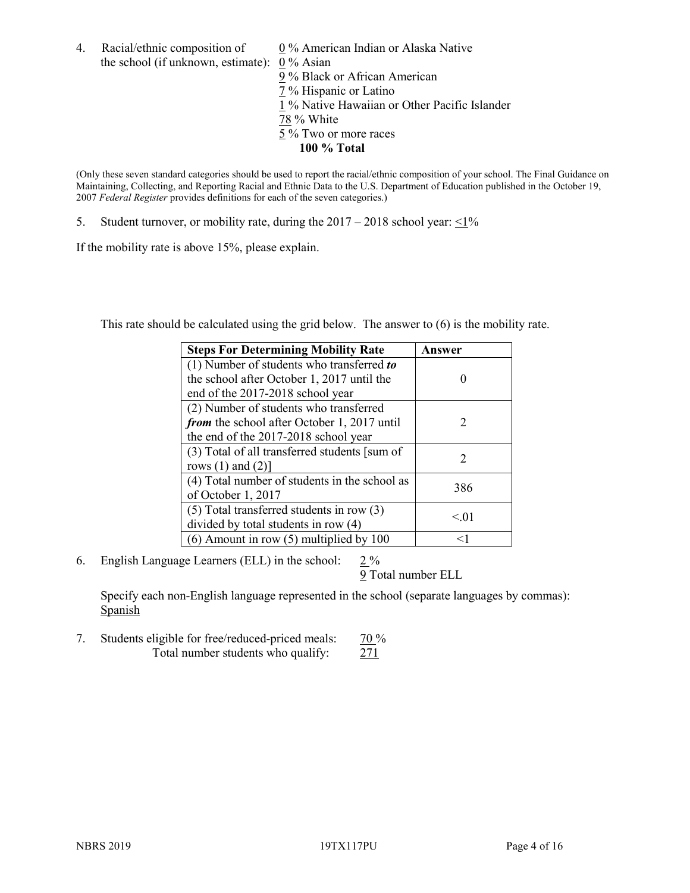4. Racial/ethnic composition of  $0\%$  American Indian or Alaska Native the school (if unknown, estimate): 0 % Asian

9 % Black or African American  $\frac{7}{2}$ % Hispanic or Latino 1 % Native Hawaiian or Other Pacific Islander 78 % White 5 % Two or more races **100 % Total**

(Only these seven standard categories should be used to report the racial/ethnic composition of your school. The Final Guidance on Maintaining, Collecting, and Reporting Racial and Ethnic Data to the U.S. Department of Education published in the October 19, 2007 *Federal Register* provides definitions for each of the seven categories.)

5. Student turnover, or mobility rate, during the  $2017 - 2018$  school year:  $\leq 1\%$ 

If the mobility rate is above 15%, please explain.

This rate should be calculated using the grid below. The answer to (6) is the mobility rate.

| <b>Steps For Determining Mobility Rate</b>    | Answer                      |
|-----------------------------------------------|-----------------------------|
| (1) Number of students who transferred to     |                             |
| the school after October 1, 2017 until the    |                             |
| end of the 2017-2018 school year              |                             |
| (2) Number of students who transferred        |                             |
| from the school after October 1, 2017 until   | $\mathcal{D}_{\mathcal{L}}$ |
| the end of the 2017-2018 school year          |                             |
| (3) Total of all transferred students [sum of |                             |
| rows $(1)$ and $(2)$ ]                        | 2                           |
| (4) Total number of students in the school as |                             |
| of October 1, 2017                            | 386                         |
| $(5)$ Total transferred students in row $(3)$ |                             |
| divided by total students in row (4)          | < 0.01                      |
| $(6)$ Amount in row $(5)$ multiplied by 100   |                             |

6. English Language Learners (ELL) in the school:  $2\%$ 

9 Total number ELL

Specify each non-English language represented in the school (separate languages by commas): **Spanish** 

7. Students eligible for free/reduced-priced meals: 70 % Total number students who qualify: 271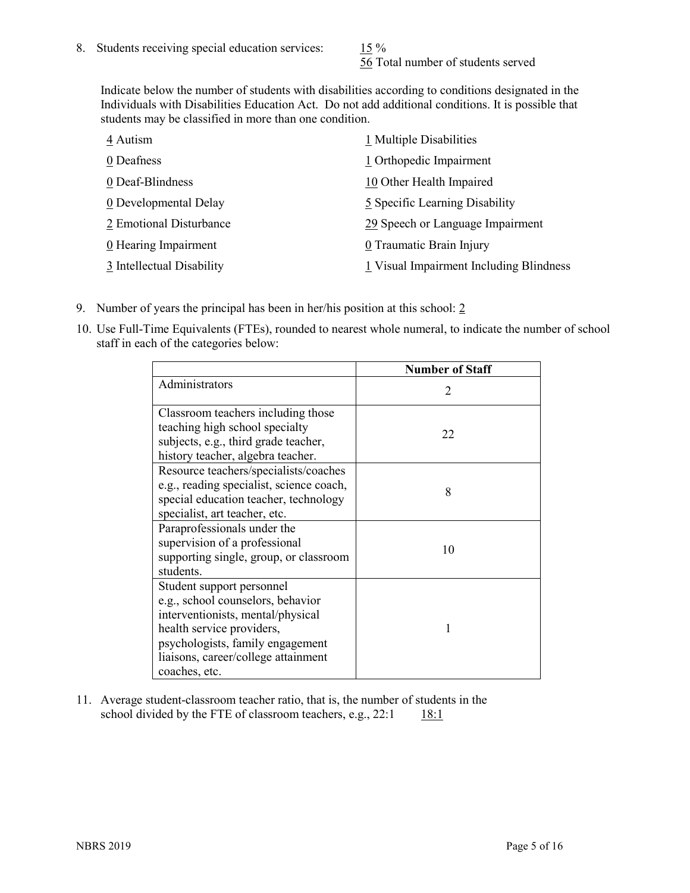56 Total number of students served

Indicate below the number of students with disabilities according to conditions designated in the Individuals with Disabilities Education Act. Do not add additional conditions. It is possible that students may be classified in more than one condition.

| 4 Autism                  | 1 Multiple Disabilities                 |
|---------------------------|-----------------------------------------|
| 0 Deafness                | 1 Orthopedic Impairment                 |
| 0 Deaf-Blindness          | 10 Other Health Impaired                |
| 0 Developmental Delay     | 5 Specific Learning Disability          |
| 2 Emotional Disturbance   | 29 Speech or Language Impairment        |
| 0 Hearing Impairment      | 0 Traumatic Brain Injury                |
| 3 Intellectual Disability | 1 Visual Impairment Including Blindness |

- 9. Number of years the principal has been in her/his position at this school: 2
- 10. Use Full-Time Equivalents (FTEs), rounded to nearest whole numeral, to indicate the number of school staff in each of the categories below:

|                                                                                                                                                                                                                              | <b>Number of Staff</b>      |
|------------------------------------------------------------------------------------------------------------------------------------------------------------------------------------------------------------------------------|-----------------------------|
| Administrators                                                                                                                                                                                                               | $\mathcal{D}_{\mathcal{A}}$ |
| Classroom teachers including those<br>teaching high school specialty<br>subjects, e.g., third grade teacher,<br>history teacher, algebra teacher.                                                                            | 22                          |
| Resource teachers/specialists/coaches<br>e.g., reading specialist, science coach,<br>special education teacher, technology<br>specialist, art teacher, etc.                                                                  | 8                           |
| Paraprofessionals under the<br>supervision of a professional<br>supporting single, group, or classroom<br>students.                                                                                                          | 10                          |
| Student support personnel<br>e.g., school counselors, behavior<br>interventionists, mental/physical<br>health service providers,<br>psychologists, family engagement<br>liaisons, career/college attainment<br>coaches, etc. |                             |

11. Average student-classroom teacher ratio, that is, the number of students in the school divided by the FTE of classroom teachers, e.g.,  $22:1$  18:1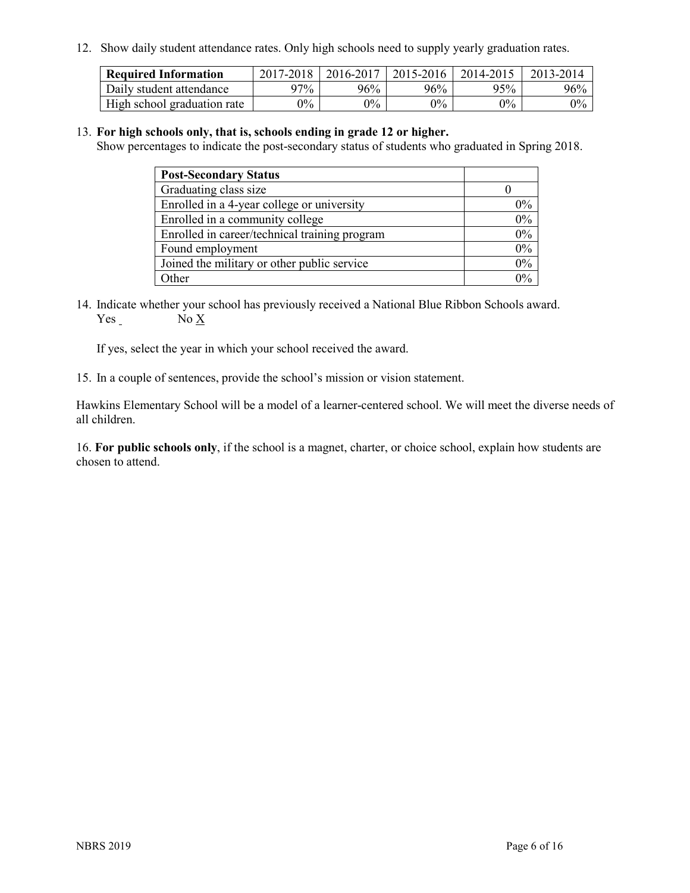12. Show daily student attendance rates. Only high schools need to supply yearly graduation rates.

| <b>Required Information</b> | 2017-2018 | 2016-2017 | 2015-2016 | 2014-2015 | 2013-2014 |
|-----------------------------|-----------|-----------|-----------|-----------|-----------|
| Daily student attendance    | 97%       | 96%       | $96\%$    | 95%       | 96%       |
| High school graduation rate | $0\%$     | $0\%$     | $0\%$     | $9\%$     | $0\%$     |

#### 13. **For high schools only, that is, schools ending in grade 12 or higher.**

Show percentages to indicate the post-secondary status of students who graduated in Spring 2018.

| <b>Post-Secondary Status</b>                  |           |
|-----------------------------------------------|-----------|
| Graduating class size                         |           |
| Enrolled in a 4-year college or university    | $0\%$     |
| Enrolled in a community college               | 0%        |
| Enrolled in career/technical training program | $0\%$     |
| Found employment                              | 0%        |
| Joined the military or other public service   | 0%        |
| Other                                         | በዓ $\sim$ |

14. Indicate whether your school has previously received a National Blue Ribbon Schools award. Yes No X

If yes, select the year in which your school received the award.

15. In a couple of sentences, provide the school's mission or vision statement.

Hawkins Elementary School will be a model of a learner-centered school. We will meet the diverse needs of all children.

16. **For public schools only**, if the school is a magnet, charter, or choice school, explain how students are chosen to attend.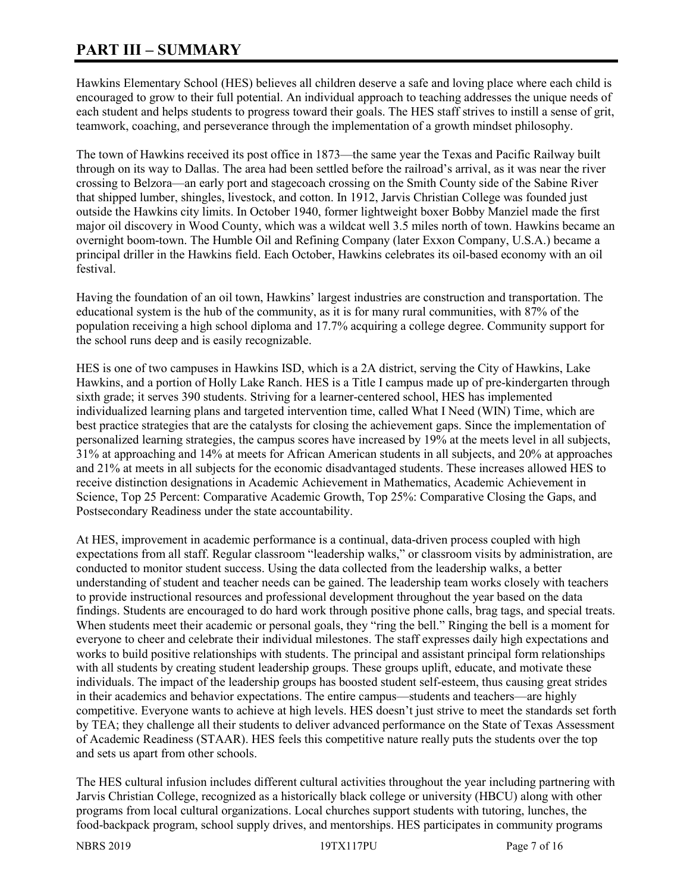# **PART III – SUMMARY**

Hawkins Elementary School (HES) believes all children deserve a safe and loving place where each child is encouraged to grow to their full potential. An individual approach to teaching addresses the unique needs of each student and helps students to progress toward their goals. The HES staff strives to instill a sense of grit, teamwork, coaching, and perseverance through the implementation of a growth mindset philosophy.

The town of Hawkins received its post office in 1873—the same year the Texas and Pacific Railway built through on its way to Dallas. The area had been settled before the railroad's arrival, as it was near the river crossing to Belzora—an early port and stagecoach crossing on the Smith County side of the Sabine River that shipped lumber, shingles, livestock, and cotton. In 1912, Jarvis Christian College was founded just outside the Hawkins city limits. In October 1940, former lightweight boxer Bobby Manziel made the first major oil discovery in Wood County, which was a wildcat well 3.5 miles north of town. Hawkins became an overnight boom-town. The Humble Oil and Refining Company (later Exxon Company, U.S.A.) became a principal driller in the Hawkins field. Each October, Hawkins celebrates its oil-based economy with an oil festival.

Having the foundation of an oil town, Hawkins' largest industries are construction and transportation. The educational system is the hub of the community, as it is for many rural communities, with 87% of the population receiving a high school diploma and 17.7% acquiring a college degree. Community support for the school runs deep and is easily recognizable.

HES is one of two campuses in Hawkins ISD, which is a 2A district, serving the City of Hawkins, Lake Hawkins, and a portion of Holly Lake Ranch. HES is a Title I campus made up of pre-kindergarten through sixth grade; it serves 390 students. Striving for a learner-centered school, HES has implemented individualized learning plans and targeted intervention time, called What I Need (WIN) Time, which are best practice strategies that are the catalysts for closing the achievement gaps. Since the implementation of personalized learning strategies, the campus scores have increased by 19% at the meets level in all subjects, 31% at approaching and 14% at meets for African American students in all subjects, and 20% at approaches and 21% at meets in all subjects for the economic disadvantaged students. These increases allowed HES to receive distinction designations in Academic Achievement in Mathematics, Academic Achievement in Science, Top 25 Percent: Comparative Academic Growth, Top 25%: Comparative Closing the Gaps, and Postsecondary Readiness under the state accountability.

At HES, improvement in academic performance is a continual, data-driven process coupled with high expectations from all staff. Regular classroom "leadership walks," or classroom visits by administration, are conducted to monitor student success. Using the data collected from the leadership walks, a better understanding of student and teacher needs can be gained. The leadership team works closely with teachers to provide instructional resources and professional development throughout the year based on the data findings. Students are encouraged to do hard work through positive phone calls, brag tags, and special treats. When students meet their academic or personal goals, they "ring the bell." Ringing the bell is a moment for everyone to cheer and celebrate their individual milestones. The staff expresses daily high expectations and works to build positive relationships with students. The principal and assistant principal form relationships with all students by creating student leadership groups. These groups uplift, educate, and motivate these individuals. The impact of the leadership groups has boosted student self-esteem, thus causing great strides in their academics and behavior expectations. The entire campus—students and teachers—are highly competitive. Everyone wants to achieve at high levels. HES doesn't just strive to meet the standards set forth by TEA; they challenge all their students to deliver advanced performance on the State of Texas Assessment of Academic Readiness (STAAR). HES feels this competitive nature really puts the students over the top and sets us apart from other schools.

The HES cultural infusion includes different cultural activities throughout the year including partnering with Jarvis Christian College, recognized as a historically black college or university (HBCU) along with other programs from local cultural organizations. Local churches support students with tutoring, lunches, the food-backpack program, school supply drives, and mentorships. HES participates in community programs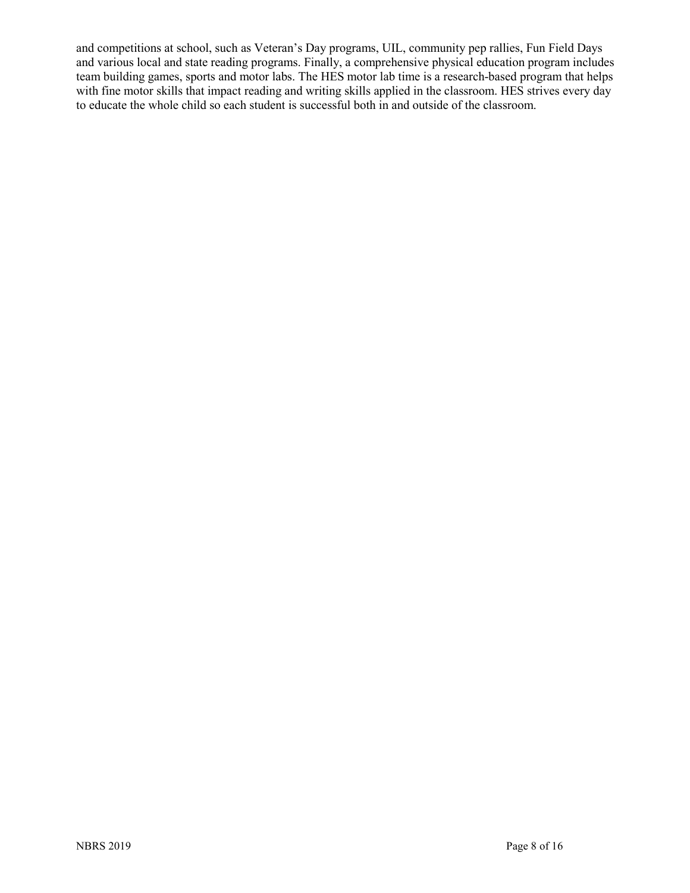and competitions at school, such as Veteran's Day programs, UIL, community pep rallies, Fun Field Days and various local and state reading programs. Finally, a comprehensive physical education program includes team building games, sports and motor labs. The HES motor lab time is a research-based program that helps with fine motor skills that impact reading and writing skills applied in the classroom. HES strives every day to educate the whole child so each student is successful both in and outside of the classroom.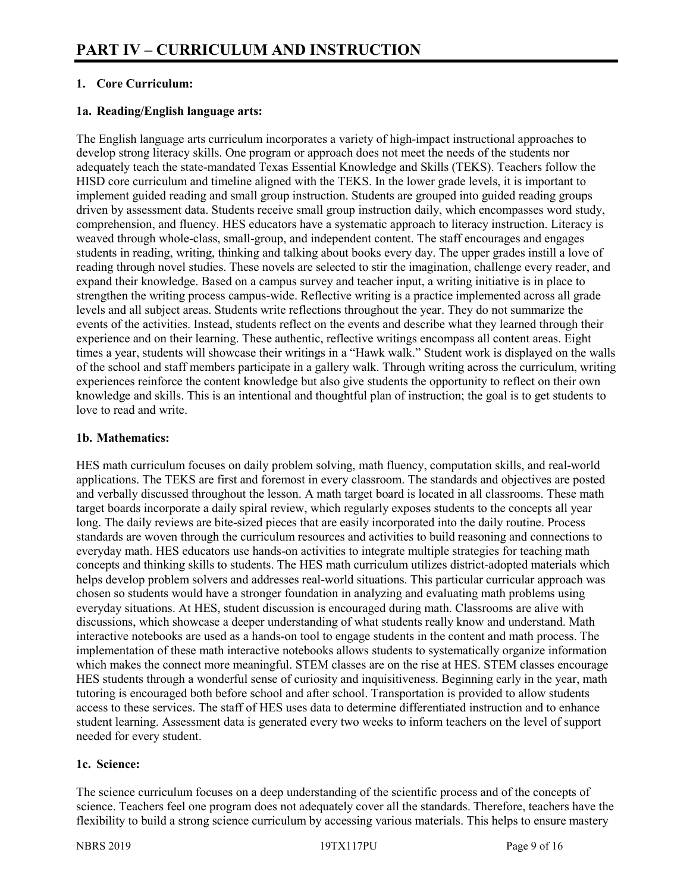# **1. Core Curriculum:**

#### **1a. Reading/English language arts:**

The English language arts curriculum incorporates a variety of high-impact instructional approaches to develop strong literacy skills. One program or approach does not meet the needs of the students nor adequately teach the state-mandated Texas Essential Knowledge and Skills (TEKS). Teachers follow the HISD core curriculum and timeline aligned with the TEKS. In the lower grade levels, it is important to implement guided reading and small group instruction. Students are grouped into guided reading groups driven by assessment data. Students receive small group instruction daily, which encompasses word study, comprehension, and fluency. HES educators have a systematic approach to literacy instruction. Literacy is weaved through whole-class, small-group, and independent content. The staff encourages and engages students in reading, writing, thinking and talking about books every day. The upper grades instill a love of reading through novel studies. These novels are selected to stir the imagination, challenge every reader, and expand their knowledge. Based on a campus survey and teacher input, a writing initiative is in place to strengthen the writing process campus-wide. Reflective writing is a practice implemented across all grade levels and all subject areas. Students write reflections throughout the year. They do not summarize the events of the activities. Instead, students reflect on the events and describe what they learned through their experience and on their learning. These authentic, reflective writings encompass all content areas. Eight times a year, students will showcase their writings in a "Hawk walk." Student work is displayed on the walls of the school and staff members participate in a gallery walk. Through writing across the curriculum, writing experiences reinforce the content knowledge but also give students the opportunity to reflect on their own knowledge and skills. This is an intentional and thoughtful plan of instruction; the goal is to get students to love to read and write.

#### **1b. Mathematics:**

HES math curriculum focuses on daily problem solving, math fluency, computation skills, and real-world applications. The TEKS are first and foremost in every classroom. The standards and objectives are posted and verbally discussed throughout the lesson. A math target board is located in all classrooms. These math target boards incorporate a daily spiral review, which regularly exposes students to the concepts all year long. The daily reviews are bite-sized pieces that are easily incorporated into the daily routine. Process standards are woven through the curriculum resources and activities to build reasoning and connections to everyday math. HES educators use hands-on activities to integrate multiple strategies for teaching math concepts and thinking skills to students. The HES math curriculum utilizes district-adopted materials which helps develop problem solvers and addresses real-world situations. This particular curricular approach was chosen so students would have a stronger foundation in analyzing and evaluating math problems using everyday situations. At HES, student discussion is encouraged during math. Classrooms are alive with discussions, which showcase a deeper understanding of what students really know and understand. Math interactive notebooks are used as a hands-on tool to engage students in the content and math process. The implementation of these math interactive notebooks allows students to systematically organize information which makes the connect more meaningful. STEM classes are on the rise at HES. STEM classes encourage HES students through a wonderful sense of curiosity and inquisitiveness. Beginning early in the year, math tutoring is encouraged both before school and after school. Transportation is provided to allow students access to these services. The staff of HES uses data to determine differentiated instruction and to enhance student learning. Assessment data is generated every two weeks to inform teachers on the level of support needed for every student.

## **1c. Science:**

The science curriculum focuses on a deep understanding of the scientific process and of the concepts of science. Teachers feel one program does not adequately cover all the standards. Therefore, teachers have the flexibility to build a strong science curriculum by accessing various materials. This helps to ensure mastery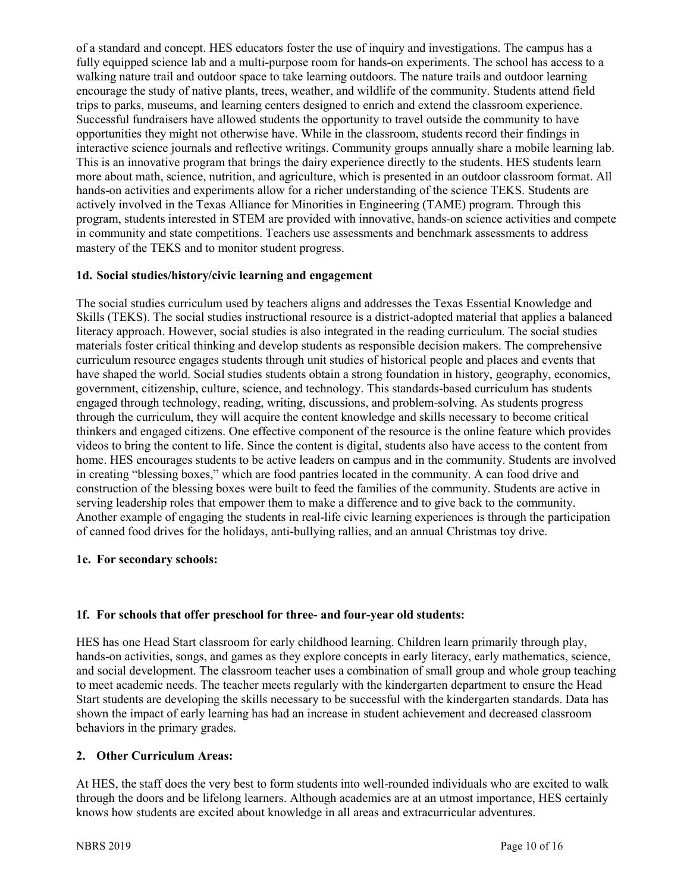of a standard and concept. HES educators foster the use of inquiry and investigations. The campus has a fully equipped science lab and a multi-purpose room for hands-on experiments. The school has access to a walking nature trail and outdoor space to take learning outdoors. The nature trails and outdoor learning encourage the study of native plants, trees, weather, and wildlife of the community. Students attend field trips to parks, museums, and learning centers designed to enrich and extend the classroom experience. Successful fundraisers have allowed students the opportunity to travel outside the community to have opportunities they might not otherwise have. While in the classroom, students record their findings in interactive science journals and reflective writings. Community groups annually share a mobile learning lab. This is an innovative program that brings the dairy experience directly to the students. HES students learn more about math, science, nutrition, and agriculture, which is presented in an outdoor classroom format. All hands-on activities and experiments allow for a richer understanding of the science TEKS. Students are actively involved in the Texas Alliance for Minorities in Engineering (TAME) program. Through this program, students interested in STEM are provided with innovative, hands-on science activities and compete in community and state competitions. Teachers use assessments and benchmark assessments to address mastery of the TEKS and to monitor student progress.

# **1d. Social studies/history/civic learning and engagement**

The social studies curriculum used by teachers aligns and addresses the Texas Essential Knowledge and Skills (TEKS). The social studies instructional resource is a district-adopted material that applies a balanced literacy approach. However, social studies is also integrated in the reading curriculum. The social studies materials foster critical thinking and develop students as responsible decision makers. The comprehensive curriculum resource engages students through unit studies of historical people and places and events that have shaped the world. Social studies students obtain a strong foundation in history, geography, economics, government, citizenship, culture, science, and technology. This standards-based curriculum has students engaged through technology, reading, writing, discussions, and problem-solving. As students progress through the curriculum, they will acquire the content knowledge and skills necessary to become critical thinkers and engaged citizens. One effective component of the resource is the online feature which provides videos to bring the content to life. Since the content is digital, students also have access to the content from home. HES encourages students to be active leaders on campus and in the community. Students are involved in creating "blessing boxes," which are food pantries located in the community. A can food drive and construction of the blessing boxes were built to feed the families of the community. Students are active in serving leadership roles that empower them to make a difference and to give back to the community. Another example of engaging the students in real-life civic learning experiences is through the participation of canned food drives for the holidays, anti-bullying rallies, and an annual Christmas toy drive.

#### **1e. For secondary schools:**

# **1f. For schools that offer preschool for three- and four-year old students:**

HES has one Head Start classroom for early childhood learning. Children learn primarily through play, hands-on activities, songs, and games as they explore concepts in early literacy, early mathematics, science, and social development. The classroom teacher uses a combination of small group and whole group teaching to meet academic needs. The teacher meets regularly with the kindergarten department to ensure the Head Start students are developing the skills necessary to be successful with the kindergarten standards. Data has shown the impact of early learning has had an increase in student achievement and decreased classroom behaviors in the primary grades.

# **2. Other Curriculum Areas:**

At HES, the staff does the very best to form students into well-rounded individuals who are excited to walk through the doors and be lifelong learners. Although academics are at an utmost importance, HES certainly knows how students are excited about knowledge in all areas and extracurricular adventures.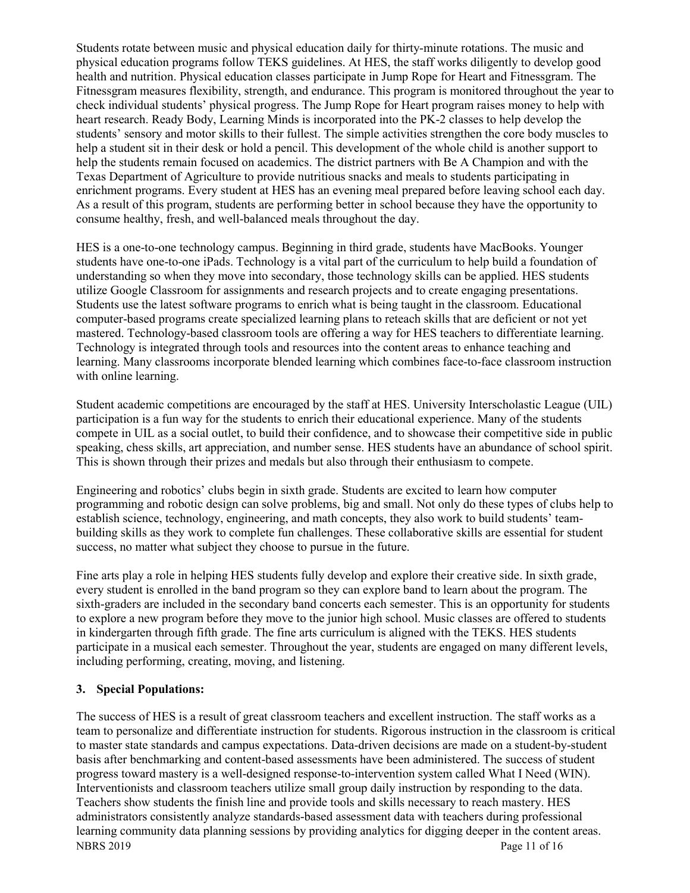Students rotate between music and physical education daily for thirty-minute rotations. The music and physical education programs follow TEKS guidelines. At HES, the staff works diligently to develop good health and nutrition. Physical education classes participate in Jump Rope for Heart and Fitnessgram. The Fitnessgram measures flexibility, strength, and endurance. This program is monitored throughout the year to check individual students' physical progress. The Jump Rope for Heart program raises money to help with heart research. Ready Body, Learning Minds is incorporated into the PK-2 classes to help develop the students' sensory and motor skills to their fullest. The simple activities strengthen the core body muscles to help a student sit in their desk or hold a pencil. This development of the whole child is another support to help the students remain focused on academics. The district partners with Be A Champion and with the Texas Department of Agriculture to provide nutritious snacks and meals to students participating in enrichment programs. Every student at HES has an evening meal prepared before leaving school each day. As a result of this program, students are performing better in school because they have the opportunity to consume healthy, fresh, and well-balanced meals throughout the day.

HES is a one-to-one technology campus. Beginning in third grade, students have MacBooks. Younger students have one-to-one iPads. Technology is a vital part of the curriculum to help build a foundation of understanding so when they move into secondary, those technology skills can be applied. HES students utilize Google Classroom for assignments and research projects and to create engaging presentations. Students use the latest software programs to enrich what is being taught in the classroom. Educational computer-based programs create specialized learning plans to reteach skills that are deficient or not yet mastered. Technology-based classroom tools are offering a way for HES teachers to differentiate learning. Technology is integrated through tools and resources into the content areas to enhance teaching and learning. Many classrooms incorporate blended learning which combines face-to-face classroom instruction with online learning.

Student academic competitions are encouraged by the staff at HES. University Interscholastic League (UIL) participation is a fun way for the students to enrich their educational experience. Many of the students compete in UIL as a social outlet, to build their confidence, and to showcase their competitive side in public speaking, chess skills, art appreciation, and number sense. HES students have an abundance of school spirit. This is shown through their prizes and medals but also through their enthusiasm to compete.

Engineering and robotics' clubs begin in sixth grade. Students are excited to learn how computer programming and robotic design can solve problems, big and small. Not only do these types of clubs help to establish science, technology, engineering, and math concepts, they also work to build students' teambuilding skills as they work to complete fun challenges. These collaborative skills are essential for student success, no matter what subject they choose to pursue in the future.

Fine arts play a role in helping HES students fully develop and explore their creative side. In sixth grade, every student is enrolled in the band program so they can explore band to learn about the program. The sixth-graders are included in the secondary band concerts each semester. This is an opportunity for students to explore a new program before they move to the junior high school. Music classes are offered to students in kindergarten through fifth grade. The fine arts curriculum is aligned with the TEKS. HES students participate in a musical each semester. Throughout the year, students are engaged on many different levels, including performing, creating, moving, and listening.

# **3. Special Populations:**

NBRS 2019 Page 11 of 16 The success of HES is a result of great classroom teachers and excellent instruction. The staff works as a team to personalize and differentiate instruction for students. Rigorous instruction in the classroom is critical to master state standards and campus expectations. Data-driven decisions are made on a student-by-student basis after benchmarking and content-based assessments have been administered. The success of student progress toward mastery is a well-designed response-to-intervention system called What I Need (WIN). Interventionists and classroom teachers utilize small group daily instruction by responding to the data. Teachers show students the finish line and provide tools and skills necessary to reach mastery. HES administrators consistently analyze standards-based assessment data with teachers during professional learning community data planning sessions by providing analytics for digging deeper in the content areas.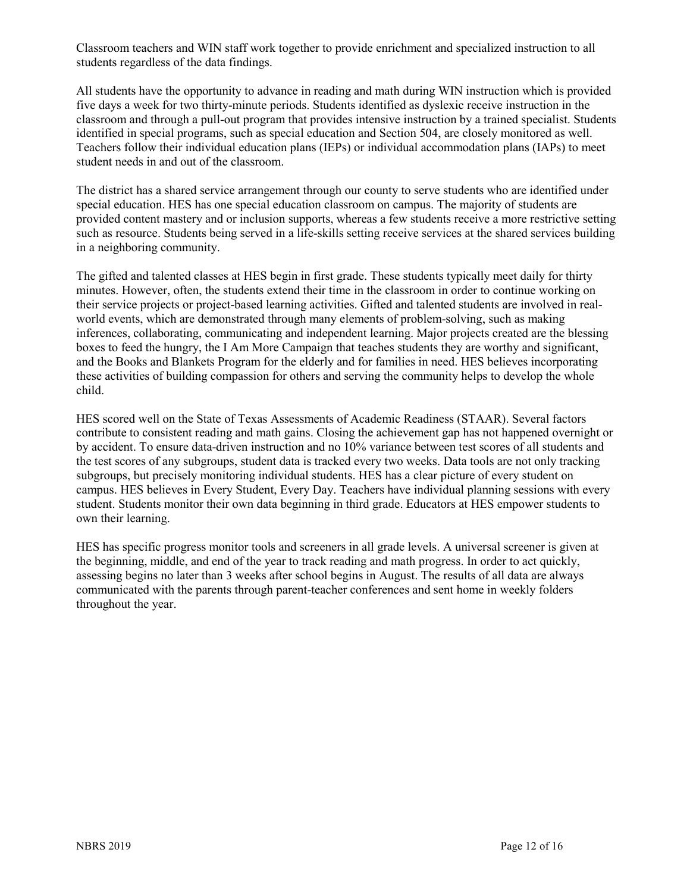Classroom teachers and WIN staff work together to provide enrichment and specialized instruction to all students regardless of the data findings.

All students have the opportunity to advance in reading and math during WIN instruction which is provided five days a week for two thirty-minute periods. Students identified as dyslexic receive instruction in the classroom and through a pull-out program that provides intensive instruction by a trained specialist. Students identified in special programs, such as special education and Section 504, are closely monitored as well. Teachers follow their individual education plans (IEPs) or individual accommodation plans (IAPs) to meet student needs in and out of the classroom.

The district has a shared service arrangement through our county to serve students who are identified under special education. HES has one special education classroom on campus. The majority of students are provided content mastery and or inclusion supports, whereas a few students receive a more restrictive setting such as resource. Students being served in a life-skills setting receive services at the shared services building in a neighboring community.

The gifted and talented classes at HES begin in first grade. These students typically meet daily for thirty minutes. However, often, the students extend their time in the classroom in order to continue working on their service projects or project-based learning activities. Gifted and talented students are involved in realworld events, which are demonstrated through many elements of problem-solving, such as making inferences, collaborating, communicating and independent learning. Major projects created are the blessing boxes to feed the hungry, the I Am More Campaign that teaches students they are worthy and significant, and the Books and Blankets Program for the elderly and for families in need. HES believes incorporating these activities of building compassion for others and serving the community helps to develop the whole child.

HES scored well on the State of Texas Assessments of Academic Readiness (STAAR). Several factors contribute to consistent reading and math gains. Closing the achievement gap has not happened overnight or by accident. To ensure data-driven instruction and no 10% variance between test scores of all students and the test scores of any subgroups, student data is tracked every two weeks. Data tools are not only tracking subgroups, but precisely monitoring individual students. HES has a clear picture of every student on campus. HES believes in Every Student, Every Day. Teachers have individual planning sessions with every student. Students monitor their own data beginning in third grade. Educators at HES empower students to own their learning.

HES has specific progress monitor tools and screeners in all grade levels. A universal screener is given at the beginning, middle, and end of the year to track reading and math progress. In order to act quickly, assessing begins no later than 3 weeks after school begins in August. The results of all data are always communicated with the parents through parent-teacher conferences and sent home in weekly folders throughout the year.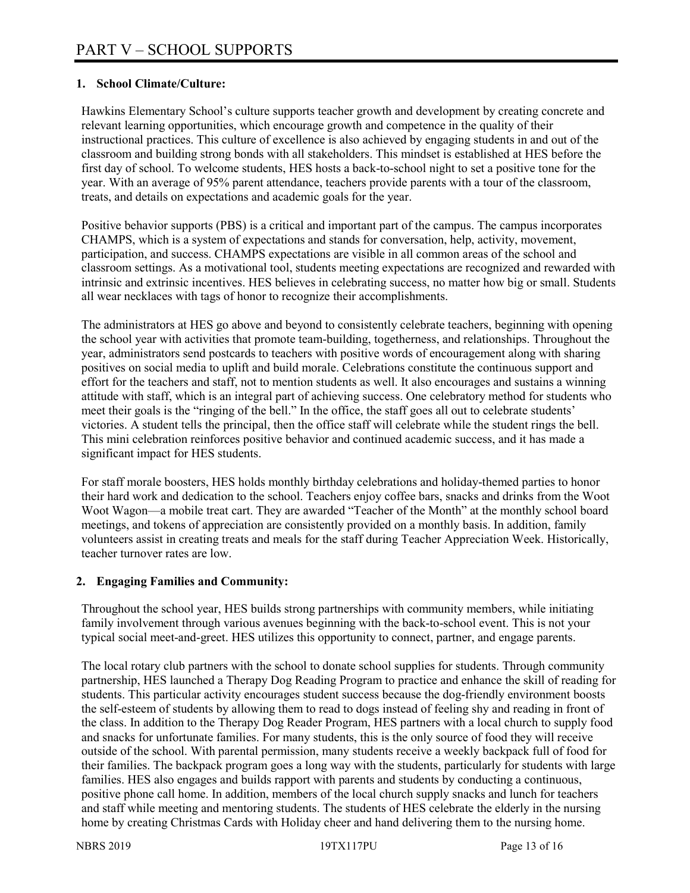## **1. School Climate/Culture:**

Hawkins Elementary School's culture supports teacher growth and development by creating concrete and relevant learning opportunities, which encourage growth and competence in the quality of their instructional practices. This culture of excellence is also achieved by engaging students in and out of the classroom and building strong bonds with all stakeholders. This mindset is established at HES before the first day of school. To welcome students, HES hosts a back-to-school night to set a positive tone for the year. With an average of 95% parent attendance, teachers provide parents with a tour of the classroom, treats, and details on expectations and academic goals for the year.

Positive behavior supports (PBS) is a critical and important part of the campus. The campus incorporates CHAMPS, which is a system of expectations and stands for conversation, help, activity, movement, participation, and success. CHAMPS expectations are visible in all common areas of the school and classroom settings. As a motivational tool, students meeting expectations are recognized and rewarded with intrinsic and extrinsic incentives. HES believes in celebrating success, no matter how big or small. Students all wear necklaces with tags of honor to recognize their accomplishments.

The administrators at HES go above and beyond to consistently celebrate teachers, beginning with opening the school year with activities that promote team-building, togetherness, and relationships. Throughout the year, administrators send postcards to teachers with positive words of encouragement along with sharing positives on social media to uplift and build morale. Celebrations constitute the continuous support and effort for the teachers and staff, not to mention students as well. It also encourages and sustains a winning attitude with staff, which is an integral part of achieving success. One celebratory method for students who meet their goals is the "ringing of the bell." In the office, the staff goes all out to celebrate students' victories. A student tells the principal, then the office staff will celebrate while the student rings the bell. This mini celebration reinforces positive behavior and continued academic success, and it has made a significant impact for HES students.

For staff morale boosters, HES holds monthly birthday celebrations and holiday-themed parties to honor their hard work and dedication to the school. Teachers enjoy coffee bars, snacks and drinks from the Woot Woot Wagon—a mobile treat cart. They are awarded "Teacher of the Month" at the monthly school board meetings, and tokens of appreciation are consistently provided on a monthly basis. In addition, family volunteers assist in creating treats and meals for the staff during Teacher Appreciation Week. Historically, teacher turnover rates are low.

#### **2. Engaging Families and Community:**

Throughout the school year, HES builds strong partnerships with community members, while initiating family involvement through various avenues beginning with the back-to-school event. This is not your typical social meet-and-greet. HES utilizes this opportunity to connect, partner, and engage parents.

The local rotary club partners with the school to donate school supplies for students. Through community partnership, HES launched a Therapy Dog Reading Program to practice and enhance the skill of reading for students. This particular activity encourages student success because the dog-friendly environment boosts the self-esteem of students by allowing them to read to dogs instead of feeling shy and reading in front of the class. In addition to the Therapy Dog Reader Program, HES partners with a local church to supply food and snacks for unfortunate families. For many students, this is the only source of food they will receive outside of the school. With parental permission, many students receive a weekly backpack full of food for their families. The backpack program goes a long way with the students, particularly for students with large families. HES also engages and builds rapport with parents and students by conducting a continuous, positive phone call home. In addition, members of the local church supply snacks and lunch for teachers and staff while meeting and mentoring students. The students of HES celebrate the elderly in the nursing home by creating Christmas Cards with Holiday cheer and hand delivering them to the nursing home.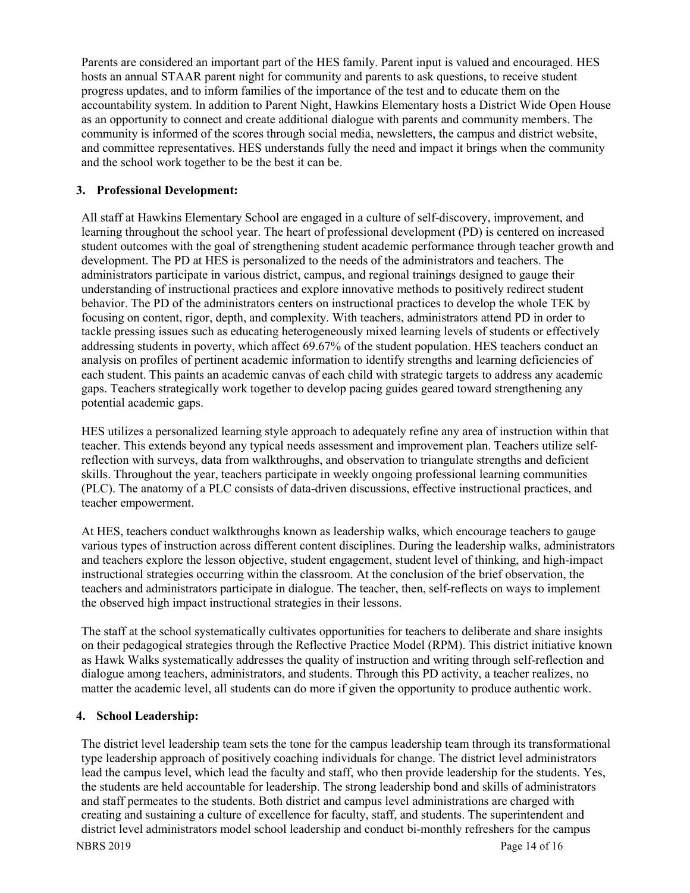Parents are considered an important part of the HES family. Parent input is valued and encouraged. HES hosts an annual STAAR parent night for community and parents to ask questions, to receive student progress updates, and to inform families of the importance of the test and to educate them on the accountability system. In addition to Parent Night, Hawkins Elementary hosts a District Wide Open House as an opportunity to connect and create additional dialogue with parents and community members. The community is informed of the scores through social media, newsletters, the campus and district website, and committee representatives. HES understands fully the need and impact it brings when the community and the school work together to be the best it can be.

#### **3. Professional Development:**

All staff at Hawkins Elementary School are engaged in a culture of self-discovery, improvement, and learning throughout the school year. The heart of professional development (PD) is centered on increased student outcomes with the goal of strengthening student academic performance through teacher growth and development. The PD at HES is personalized to the needs of the administrators and teachers. The administrators participate in various district, campus, and regional trainings designed to gauge their understanding of instructional practices and explore innovative methods to positively redirect student behavior. The PD of the administrators centers on instructional practices to develop the whole TEK by focusing on content, rigor, depth, and complexity. With teachers, administrators attend PD in order to tackle pressing issues such as educating heterogeneously mixed learning levels of students or effectively addressing students in poverty, which affect 69.67% of the student population. HES teachers conduct an analysis on profiles of pertinent academic information to identify strengths and learning deficiencies of each student. This paints an academic canvas of each child with strategic targets to address any academic gaps. Teachers strategically work together to develop pacing guides geared toward strengthening any potential academic gaps.

HES utilizes a personalized learning style approach to adequately refine any area of instruction within that teacher. This extends beyond any typical needs assessment and improvement plan. Teachers utilize selfreflection with surveys, data from walkthroughs, and observation to triangulate strengths and deficient skills. Throughout the year, teachers participate in weekly ongoing professional learning communities (PLC). The anatomy of a PLC consists of data-driven discussions, effective instructional practices, and teacher empowerment.

At HES, teachers conduct walkthroughs known as leadership walks, which encourage teachers to gauge various types of instruction across different content disciplines. During the leadership walks, administrators and teachers explore the lesson objective, student engagement, student level of thinking, and high-impact instructional strategies occurring within the classroom. At the conclusion of the brief observation, the teachers and administrators participate in dialogue. The teacher, then, self-reflects on ways to implement the observed high impact instructional strategies in their lessons.

The staff at the school systematically cultivates opportunities for teachers to deliberate and share insights on their pedagogical strategies through the Reflective Practice Model (RPM). This district initiative known as Hawk Walks systematically addresses the quality of instruction and writing through self-reflection and dialogue among teachers, administrators, and students. Through this PD activity, a teacher realizes, no matter the academic level, all students can do more if given the opportunity to produce authentic work.

# **4. School Leadership:**

The district level leadership team sets the tone for the campus leadership team through its transformational type leadership approach of positively coaching individuals for change. The district level administrators lead the campus level, which lead the faculty and staff, who then provide leadership for the students. Yes, the students are held accountable for leadership. The strong leadership bond and skills of administrators and staff permeates to the students. Both district and campus level administrations are charged with creating and sustaining a culture of excellence for faculty, staff, and students. The superintendent and district level administrators model school leadership and conduct bi-monthly refreshers for the campus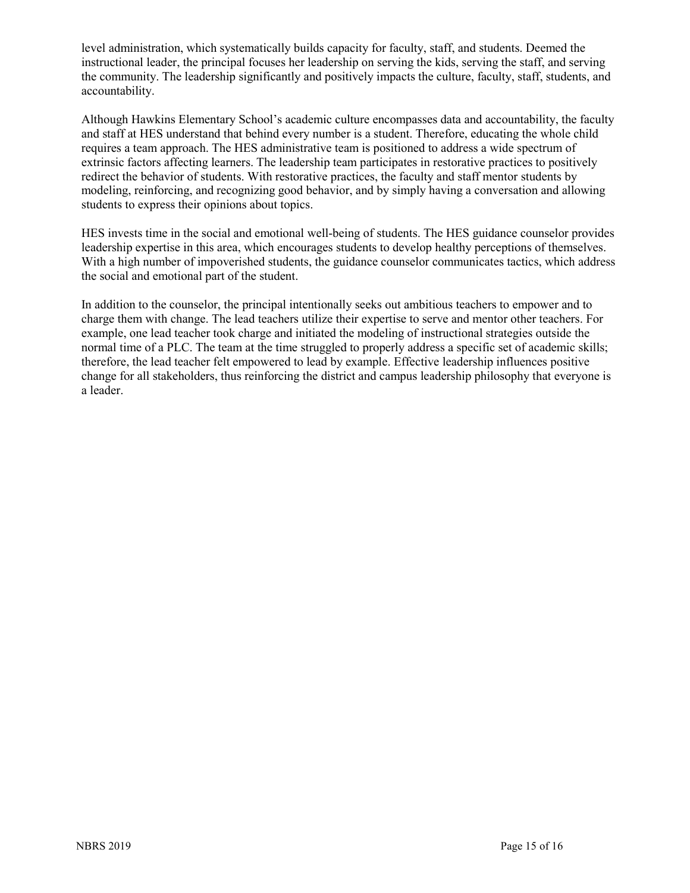level administration, which systematically builds capacity for faculty, staff, and students. Deemed the instructional leader, the principal focuses her leadership on serving the kids, serving the staff, and serving the community. The leadership significantly and positively impacts the culture, faculty, staff, students, and accountability.

Although Hawkins Elementary School's academic culture encompasses data and accountability, the faculty and staff at HES understand that behind every number is a student. Therefore, educating the whole child requires a team approach. The HES administrative team is positioned to address a wide spectrum of extrinsic factors affecting learners. The leadership team participates in restorative practices to positively redirect the behavior of students. With restorative practices, the faculty and staff mentor students by modeling, reinforcing, and recognizing good behavior, and by simply having a conversation and allowing students to express their opinions about topics.

HES invests time in the social and emotional well-being of students. The HES guidance counselor provides leadership expertise in this area, which encourages students to develop healthy perceptions of themselves. With a high number of impoverished students, the guidance counselor communicates tactics, which address the social and emotional part of the student.

In addition to the counselor, the principal intentionally seeks out ambitious teachers to empower and to charge them with change. The lead teachers utilize their expertise to serve and mentor other teachers. For example, one lead teacher took charge and initiated the modeling of instructional strategies outside the normal time of a PLC. The team at the time struggled to properly address a specific set of academic skills; therefore, the lead teacher felt empowered to lead by example. Effective leadership influences positive change for all stakeholders, thus reinforcing the district and campus leadership philosophy that everyone is a leader.